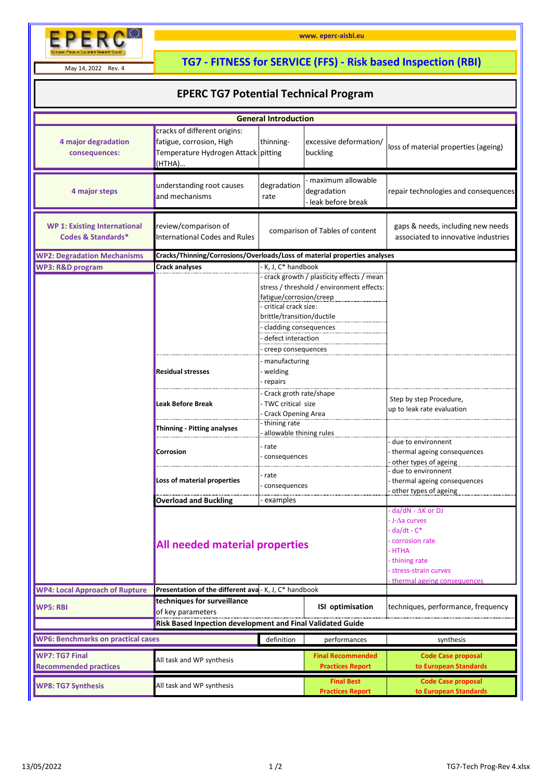

May 14, 2022 Rev. 4

## **TG7 - FITNESS for SERVICE (FFS) - Risk based Inspection (RBI)**

**www. eperc-aisbl.eu**

## **EPERC TG7 Potential Technical Program**

| <b>General Introduction</b>                                          |                                                                                                           |                                                                                                                                                                                                                                                                          |                                                       |                                                                            |  |  |  |  |
|----------------------------------------------------------------------|-----------------------------------------------------------------------------------------------------------|--------------------------------------------------------------------------------------------------------------------------------------------------------------------------------------------------------------------------------------------------------------------------|-------------------------------------------------------|----------------------------------------------------------------------------|--|--|--|--|
| 4 major degradation<br>consequences:                                 | cracks of different origins:<br>fatigue, corrosion, High<br>Temperature Hydrogen Attack pitting<br>(HTHA) | thinning-                                                                                                                                                                                                                                                                | excessive deformation/<br>buckling                    | loss of material properties (ageing)                                       |  |  |  |  |
| 4 major steps                                                        | understanding root causes<br>and mechanisms                                                               | degradation<br>rate                                                                                                                                                                                                                                                      | maximum allowable<br>degradation<br>leak before break | repair technologies and consequences                                       |  |  |  |  |
| <b>WP 1: Existing International</b><br><b>Codes &amp; Standards*</b> | review/comparison of<br><b>International Codes and Rules</b>                                              | comparison of Tables of content                                                                                                                                                                                                                                          |                                                       | gaps & needs, including new needs<br>associated to innovative industries   |  |  |  |  |
| <b>WP2: Degradation Mechanisms</b>                                   | Cracks/Thinning/Corrosions/Overloads/Loss of material properties analyses                                 |                                                                                                                                                                                                                                                                          |                                                       |                                                                            |  |  |  |  |
| <b>WP3: R&amp;D program</b>                                          | Crack analyses                                                                                            | - K, J, C* handbook<br>- crack growth / plasticity effects / mean<br>stress / threshold / environment effects:<br>fatigue/corrosion/creep<br>- critical crack size:<br>brittle/transition/ductile<br>- cladding consequences<br>defect interaction<br>creep consequences |                                                       |                                                                            |  |  |  |  |
|                                                                      | <b>Residual stresses</b>                                                                                  | manufacturing<br>- welding<br>repairs                                                                                                                                                                                                                                    |                                                       |                                                                            |  |  |  |  |
|                                                                      | <b>Leak Before Break</b>                                                                                  | - Crack groth rate/shape<br>- TWC critical size<br><b>Crack Opening Area</b>                                                                                                                                                                                             |                                                       | Step by step Procedure,<br>up to leak rate evaluation                      |  |  |  |  |
|                                                                      | <b>Thinning - Pitting analyses</b>                                                                        | thining rate                                                                                                                                                                                                                                                             |                                                       |                                                                            |  |  |  |  |
|                                                                      | Corrosion                                                                                                 | allowable thining rules<br>- rate<br>consequences                                                                                                                                                                                                                        |                                                       | due to environnent<br>thermal ageing consequences<br>other types of ageing |  |  |  |  |
|                                                                      | Loss of material properties                                                                               | rate<br>consequences                                                                                                                                                                                                                                                     |                                                       | due to environnent<br>thermal ageing consequences<br>other types of ageing |  |  |  |  |
|                                                                      | <b>Overload and Buckling</b>                                                                              | examples                                                                                                                                                                                                                                                                 |                                                       | $d$ a/dN - $\Delta$ K or DJ                                                |  |  |  |  |
|                                                                      | <b>All needed material properties</b>                                                                     |                                                                                                                                                                                                                                                                          |                                                       |                                                                            |  |  |  |  |
| <b>WP4: Local Approach of Rupture</b>                                | Presentation of the different ava - K, J, C* handbook                                                     |                                                                                                                                                                                                                                                                          |                                                       |                                                                            |  |  |  |  |
| <b>WP5: RBI</b>                                                      | techniques for surveillance<br>of key parameters                                                          |                                                                                                                                                                                                                                                                          | ISI optimisation                                      | techniques, performance, frequency                                         |  |  |  |  |
| Risk Based Inpection development and Final Validated Guide           |                                                                                                           |                                                                                                                                                                                                                                                                          |                                                       |                                                                            |  |  |  |  |
| <b>WP6: Benchmarks on practical cases</b>                            |                                                                                                           | definition                                                                                                                                                                                                                                                               | performances                                          | synthesis                                                                  |  |  |  |  |
| <b>WP7: TG7 Final</b><br><b>Recommended practices</b>                | All task and WP synthesis                                                                                 |                                                                                                                                                                                                                                                                          | <b>Final Recommended</b><br><b>Practices Report</b>   | <b>Code Case proposal</b><br>to European Standards                         |  |  |  |  |
| <b>WP8: TG7 Synthesis</b>                                            | All task and WP synthesis                                                                                 |                                                                                                                                                                                                                                                                          | <b>Final Best</b><br><b>Practices Report</b>          | <b>Code Case proposal</b><br>to European Standards                         |  |  |  |  |